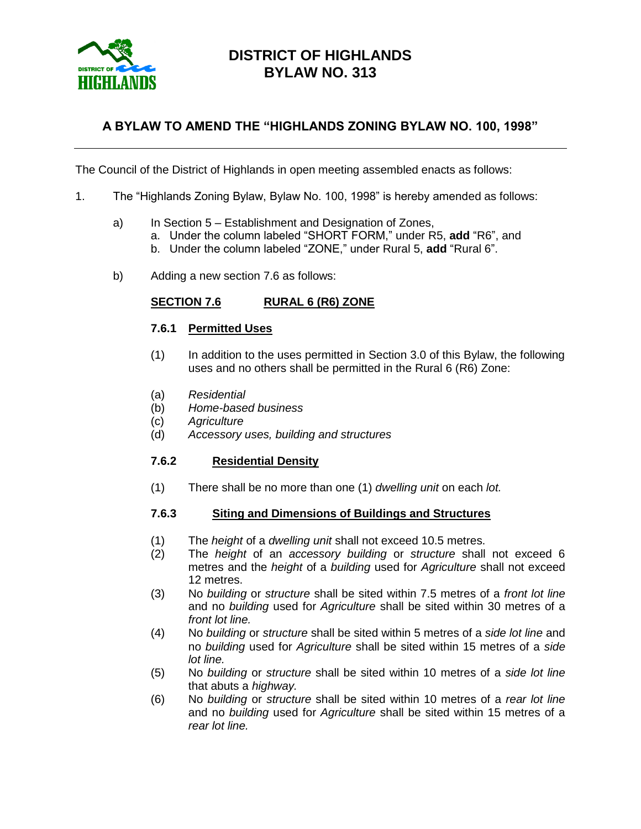

## **DISTRICT OF HIGHLANDS BYLAW NO. 313**

## **A BYLAW TO AMEND THE "HIGHLANDS ZONING BYLAW NO. 100, 1998"**

The Council of the District of Highlands in open meeting assembled enacts as follows:

- 1. The "Highlands Zoning Bylaw, Bylaw No. 100, 1998" is hereby amended as follows:
	- a) In Section 5 Establishment and Designation of Zones,
		- a. Under the column labeled "SHORT FORM," under R5, **add** "R6", and
			- b. Under the column labeled "ZONE," under Rural 5, **add** "Rural 6".
	- b) Adding a new section 7.6 as follows:

#### **SECTION 7.6 RURAL 6 (R6) ZONE**

#### **7.6.1 Permitted Uses**

- (1) In addition to the uses permitted in Section 3.0 of this Bylaw, the following uses and no others shall be permitted in the Rural 6 (R6) Zone:
- (a) *Residential*
- (b) *Home-based business*
- (c) *Agriculture*
- (d) *Accessory uses, building and structures*

#### **7.6.2 Residential Density**

(1) There shall be no more than one (1) *dwelling unit* on each *lot.*

#### **7.6.3 Siting and Dimensions of Buildings and Structures**

- (1) The *height* of a *dwelling unit* shall not exceed 10.5 metres.
- (2) The *height* of an *accessory building* or *structure* shall not exceed 6 metres and the *height* of a *building* used for *Agriculture* shall not exceed 12 metres.
- (3) No *building* or *structure* shall be sited within 7.5 metres of a *front lot line* and no *building* used for *Agriculture* shall be sited within 30 metres of a *front lot line.*
- (4) No *building* or *structure* shall be sited within 5 metres of a *side lot line* and no *building* used for *Agriculture* shall be sited within 15 metres of a *side lot line.*
- (5) No *building* or *structure* shall be sited within 10 metres of a *side lot line* that abuts a *highway.*
- (6) No *building* or *structure* shall be sited within 10 metres of a *rear lot line* and no *building* used for *Agriculture* shall be sited within 15 metres of a *rear lot line.*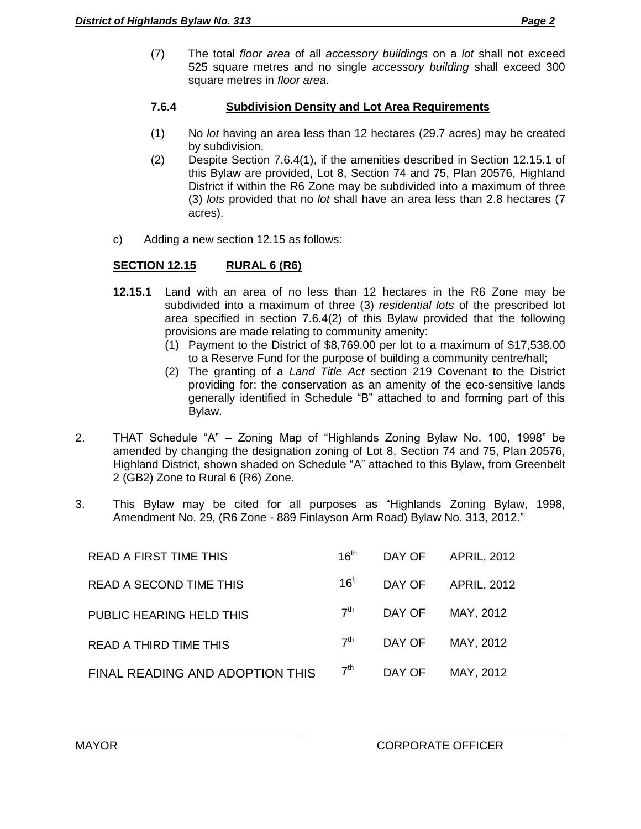(7) The total *floor area* of all *accessory buildings* on a *lot* shall not exceed 525 square metres and no single *accessory building* shall exceed 300 square metres in *floor area*.

### **7.6.4 Subdivision Density and Lot Area Requirements**

- (1) No *lot* having an area less than 12 hectares (29.7 acres) may be created by subdivision.
- (2) Despite Section 7.6.4(1), if the amenities described in Section 12.15.1 of this Bylaw are provided, Lot 8, Section 74 and 75, Plan 20576, Highland District if within the R6 Zone may be subdivided into a maximum of three (3) *lots* provided that no *lot* shall have an area less than 2.8 hectares (7 acres).
- c) Adding a new section 12.15 as follows:

## **SECTION 12.15 RURAL 6 (R6)**

- **12.15.1** Land with an area of no less than 12 hectares in the R6 Zone may be subdivided into a maximum of three (3) *residential lots* of the prescribed lot area specified in section 7.6.4(2) of this Bylaw provided that the following provisions are made relating to community amenity:
	- (1) Payment to the District of \$8,769.00 per lot to a maximum of \$17,538.00 to a Reserve Fund for the purpose of building a community centre/hall;
	- (2) The granting of a *Land Title Act* section 219 Covenant to the District providing for: the conservation as an amenity of the eco-sensitive lands generally identified in Schedule "B" attached to and forming part of this Bylaw.
- 2. THAT Schedule "A" Zoning Map of "Highlands Zoning Bylaw No. 100, 1998" be amended by changing the designation zoning of Lot 8, Section 74 and 75, Plan 20576, Highland District, shown shaded on Schedule "A" attached to this Bylaw, from Greenbelt 2 (GB2) Zone to Rural 6 (R6) Zone.
- 3. This Bylaw may be cited for all purposes as "Highlands Zoning Bylaw, 1998, Amendment No. 29, (R6 Zone - 889 Finlayson Arm Road) Bylaw No. 313, 2012."

| <b>READ A FIRST TIME THIS</b>   | $16^{\text{th}}$ | DAY OF | <b>APRIL, 2012</b> |
|---------------------------------|------------------|--------|--------------------|
| <b>READ A SECOND TIME THIS</b>  | $16^{\text{t}}$  |        | DAY OF APRIL, 2012 |
| PUBLIC HEARING HELD THIS        | 7 <sup>th</sup>  | DAY OF | MAY, 2012          |
| <b>READ A THIRD TIME THIS</b>   | 7 <sup>th</sup>  | DAY OF | MAY, 2012          |
| FINAL READING AND ADOPTION THIS | 7 <sup>th</sup>  | DAY OF | MAY, 2012          |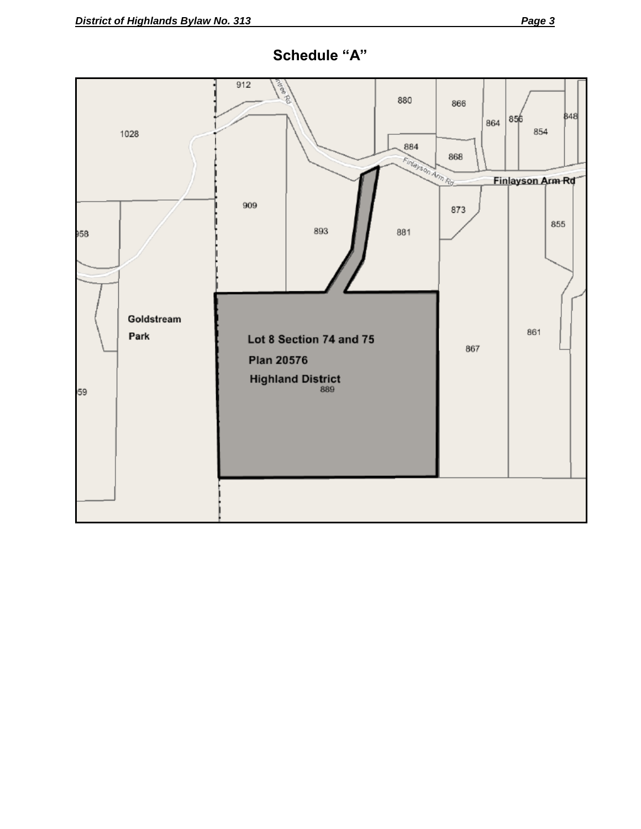

# **Schedule "A"**